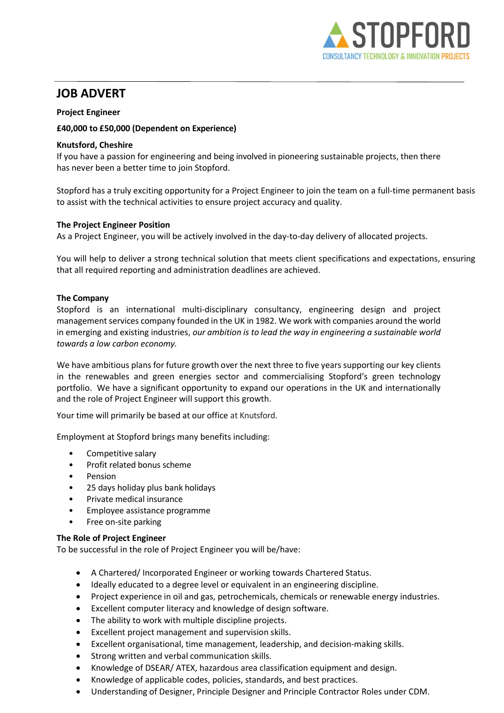

# JOB ADVERT

## Project Engineer

## £40,000 to £50,000 (Dependent on Experience)

## Knutsford, Cheshire

If you have a passion for engineering and being involved in pioneering sustainable projects, then there has never been a better time to join Stopford.

Stopford has a truly exciting opportunity for a Project Engineer to join the team on a full-time permanent basis to assist with the technical activities to ensure project accuracy and quality.

### The Project Engineer Position

As a Project Engineer, you will be actively involved in the day-to-day delivery of allocated projects.

You will help to deliver a strong technical solution that meets client specifications and expectations, ensuring that all required reporting and administration deadlines are achieved.

## The Company

Stopford is an international multi-disciplinary consultancy, engineering design and project management services company founded in the UK in 1982. We work with companies around the world in emerging and existing industries, our ambition is to lead the way in engineering a sustainable world towards a low carbon economy.   

We have ambitious plans for future growth over the next three to five years supporting our key clients in the renewables and green energies sector and commercialising Stopford's green technology portfolio.  We have a significant opportunity to expand our operations in the UK and internationally and the role of Project Engineer will support this growth.  

Your time will primarily be based at our office at Knutsford.

Employment at Stopford brings many benefits including:

- Competitive salary
- Profit related bonus scheme
- **Pension**
- 25 days holiday plus bank holidays
- Private medical insurance
- Employee assistance programme
- Free on-site parking

### The Role of Project Engineer

To be successful in the role of Project Engineer you will be/have:

- A Chartered/ Incorporated Engineer or working towards Chartered Status.
- Ideally educated to a degree level or equivalent in an engineering discipline.
- Project experience in oil and gas, petrochemicals, chemicals or renewable energy industries.
- Excellent computer literacy and knowledge of design software.
- The ability to work with multiple discipline projects.
- Excellent project management and supervision skills.
- Excellent organisational, time management, leadership, and decision-making skills.
- Strong written and verbal communication skills.
- Knowledge of DSEAR/ ATEX, hazardous area classification equipment and design.
- Knowledge of applicable codes, policies, standards, and best practices.
- Understanding of Designer, Principle Designer and Principle Contractor Roles under CDM.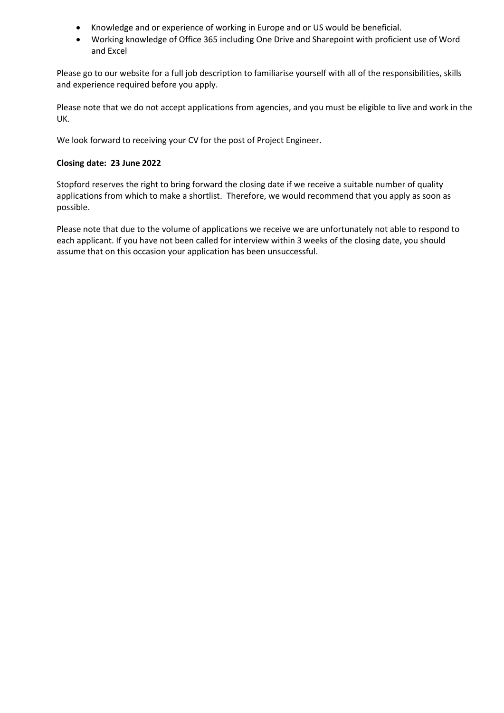- Knowledge and or experience of working in Europe and or US would be beneficial.
- Working knowledge of Office 365 including One Drive and Sharepoint with proficient use of Word and Excel

Please go to our website for a full job description to familiarise yourself with all of the responsibilities, skills and experience required before you apply.   

Please note that we do not accept applications from agencies, and you must be eligible to live and work in the UK.    

We look forward to receiving your CV for the post of Project Engineer.    

### Closing date:  23 June 2022

Stopford reserves the right to bring forward the closing date if we receive a suitable number of quality applications from which to make a shortlist.  Therefore, we would recommend that you apply as soon as possible.       

Please note that due to the volume of applications we receive we are unfortunately not able to respond to each applicant. If you have not been called for interview within 3 weeks of the closing date, you should assume that on this occasion your application has been unsuccessful.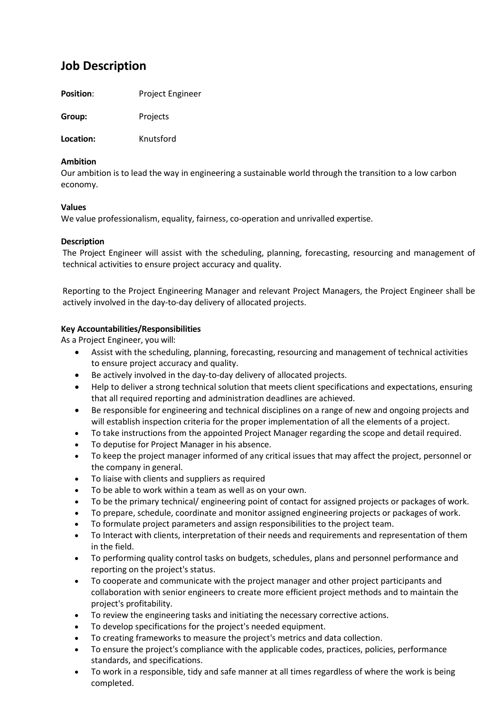# Job Description

Position: Project Engineer

Group: Projects

Location: Knutsford

## Ambition

Our ambition is to lead the way in engineering a sustainable world through the transition to a low carbon economy.

## Values

We value professionalism, equality, fairness, co-operation and unrivalled expertise.

## Description

The Project Engineer will assist with the scheduling, planning, forecasting, resourcing and management of technical activities to ensure project accuracy and quality.

Reporting to the Project Engineering Manager and relevant Project Managers, the Project Engineer shall be actively involved in the day-to-day delivery of allocated projects.

## Key Accountabilities/Responsibilities

As a Project Engineer, you will:

- Assist with the scheduling, planning, forecasting, resourcing and management of technical activities to ensure project accuracy and quality.
- Be actively involved in the day-to-day delivery of allocated projects.
- Help to deliver a strong technical solution that meets client specifications and expectations, ensuring that all required reporting and administration deadlines are achieved.
- Be responsible for engineering and technical disciplines on a range of new and ongoing projects and will establish inspection criteria for the proper implementation of all the elements of a project.
- To take instructions from the appointed Project Manager regarding the scope and detail required.
- To deputise for Project Manager in his absence.
- To keep the project manager informed of any critical issues that may affect the project, personnel or the company in general.
- To liaise with clients and suppliers as required
- To be able to work within a team as well as on your own.
- To be the primary technical/ engineering point of contact for assigned projects or packages of work.
- To prepare, schedule, coordinate and monitor assigned engineering projects or packages of work.
- To formulate project parameters and assign responsibilities to the project team.
- To Interact with clients, interpretation of their needs and requirements and representation of them in the field.
- To performing quality control tasks on budgets, schedules, plans and personnel performance and reporting on the project's status.
- To cooperate and communicate with the project manager and other project participants and collaboration with senior engineers to create more efficient project methods and to maintain the project's profitability.
- To review the engineering tasks and initiating the necessary corrective actions.
- To develop specifications for the project's needed equipment.
- To creating frameworks to measure the project's metrics and data collection.
- To ensure the project's compliance with the applicable codes, practices, policies, performance standards, and specifications.
- To work in a responsible, tidy and safe manner at all times regardless of where the work is being completed.